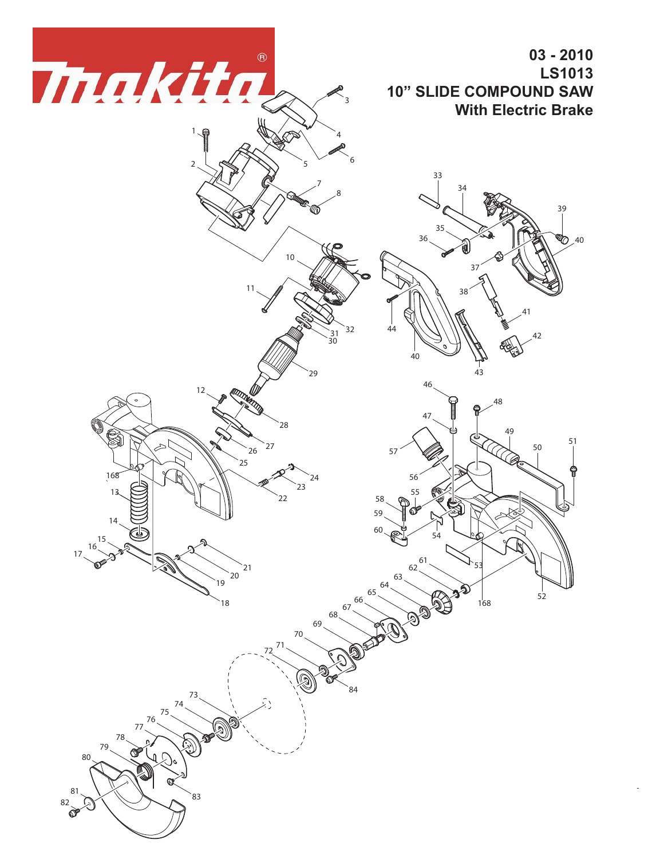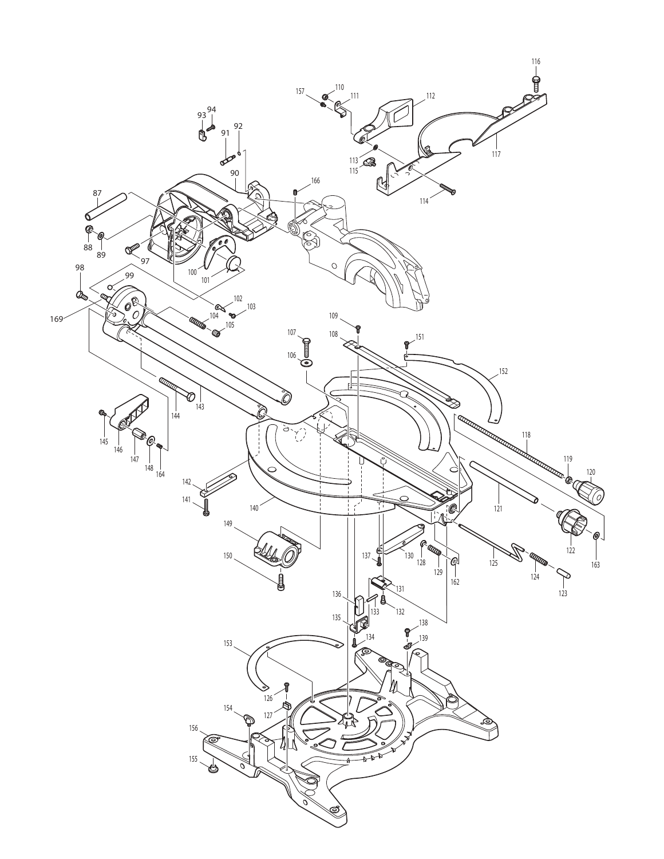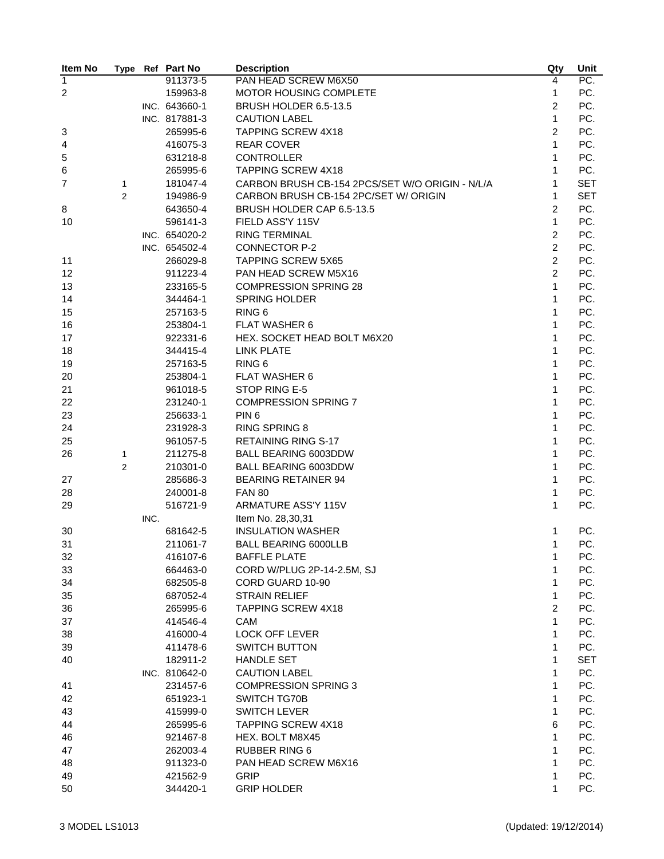| Item No                 |                |      | Type Ref Part No | <b>Description</b>                              | Qty            | Unit       |
|-------------------------|----------------|------|------------------|-------------------------------------------------|----------------|------------|
| $\overline{1}$          |                |      | 911373-5         | PAN HEAD SCREW M6X50                            | 4              | PC.        |
| $\overline{c}$          |                |      | 159963-8         | MOTOR HOUSING COMPLETE                          | 1              | PC.        |
|                         |                |      | INC. 643660-1    | BRUSH HOLDER 6.5-13.5                           | $\overline{c}$ | PC.        |
|                         |                |      | INC. 817881-3    | <b>CAUTION LABEL</b>                            | $\mathbf{1}$   | PC.        |
| 3                       |                |      | 265995-6         | <b>TAPPING SCREW 4X18</b>                       | $\overline{2}$ | PC.        |
| $\overline{\mathbf{r}}$ |                |      | 416075-3         | <b>REAR COVER</b>                               | $\mathbf{1}$   | PC.        |
| 5                       |                |      | 631218-8         | <b>CONTROLLER</b>                               | 1              | PC.        |
| 6                       |                |      | 265995-6         | <b>TAPPING SCREW 4X18</b>                       | 1              | PC.        |
| 7                       | $\mathbf{1}$   |      | 181047-4         | CARBON BRUSH CB-154 2PCS/SET W/O ORIGIN - N/L/A | 1              | <b>SET</b> |
|                         | $\overline{2}$ |      | 194986-9         | CARBON BRUSH CB-154 2PC/SET W/ ORIGIN           | 1              | <b>SET</b> |
| 8                       |                |      | 643650-4         | BRUSH HOLDER CAP 6.5-13.5                       | $\overline{c}$ | PC.        |
| 10                      |                |      | 596141-3         | FIELD ASS'Y 115V                                | $\mathbf{1}$   | PC.        |
|                         |                |      | INC. 654020-2    | <b>RING TERMINAL</b>                            | $\overline{c}$ | PC.        |
|                         |                |      | INC. 654502-4    | <b>CONNECTOR P-2</b>                            | $\overline{2}$ | PC.        |
| 11                      |                |      | 266029-8         | <b>TAPPING SCREW 5X65</b>                       | $\overline{2}$ | PC.        |
| 12                      |                |      | 911223-4         | PAN HEAD SCREW M5X16                            | $\overline{2}$ | PC.        |
| 13                      |                |      | 233165-5         | <b>COMPRESSION SPRING 28</b>                    | $\mathbf{1}$   | PC.        |
| 14                      |                |      | 344464-1         | <b>SPRING HOLDER</b>                            | $\mathbf{1}$   | PC.        |
| 15                      |                |      | 257163-5         | RING <sub>6</sub>                               | 1              | PC.        |
| 16                      |                |      | 253804-1         | <b>FLAT WASHER 6</b>                            | 1              | PC.        |
| 17                      |                |      | 922331-6         | HEX. SOCKET HEAD BOLT M6X20                     | $\mathbf{1}$   | PC.        |
| 18                      |                |      | 344415-4         | <b>LINK PLATE</b>                               | 1              | PC.        |
| 19                      |                |      | 257163-5         | RING <sub>6</sub>                               | $\mathbf{1}$   | PC.        |
| 20                      |                |      | 253804-1         | <b>FLAT WASHER 6</b>                            | 1              | PC.        |
|                         |                |      | 961018-5         | STOP RING E-5                                   | 1              | PC.        |
| 21                      |                |      |                  | <b>COMPRESSION SPRING 7</b>                     | $\mathbf{1}$   | PC.        |
| 22                      |                |      | 231240-1         |                                                 |                |            |
| 23                      |                |      | 256633-1         | PIN <sub>6</sub>                                | 1              | PC.        |
| 24                      |                |      | 231928-3         | <b>RING SPRING 8</b>                            | $\mathbf{1}$   | PC.        |
| 25                      |                |      | 961057-5         | <b>RETAINING RING S-17</b>                      | $\mathbf{1}$   | PC.        |
| 26                      | $\mathbf{1}$   |      | 211275-8         | BALL BEARING 6003DDW                            | $\mathbf{1}$   | PC.        |
|                         | 2              |      | 210301-0         | BALL BEARING 6003DDW                            | $\mathbf{1}$   | PC.        |
| 27                      |                |      | 285686-3         | <b>BEARING RETAINER 94</b>                      | 1              | PC.        |
| 28                      |                |      | 240001-8         | <b>FAN 80</b>                                   | 1              | PC.        |
| 29                      |                |      | 516721-9         | ARMATURE ASS'Y 115V                             | 1              | PC.        |
|                         |                | INC. |                  | Item No. 28,30,31                               |                |            |
| 30                      |                |      | 681642-5         | <b>INSULATION WASHER</b>                        | 1              | PC.        |
| 31                      |                |      | 211061-7         | <b>BALL BEARING 6000LLB</b>                     | 1              | PC.        |
| 32                      |                |      | 416107-6         | <b>BAFFLE PLATE</b>                             | 1              | PC.        |
| 33                      |                |      | 664463-0         | CORD W/PLUG 2P-14-2.5M, SJ                      | 1              | PC.        |
| 34                      |                |      | 682505-8         | CORD GUARD 10-90                                | 1              | PC.        |
| 35                      |                |      | 687052-4         | <b>STRAIN RELIEF</b>                            | $\mathbf{1}$   | PC.        |
| 36                      |                |      | 265995-6         | <b>TAPPING SCREW 4X18</b>                       | $\overline{c}$ | PC.        |
| 37                      |                |      | 414546-4         | CAM                                             | $\mathbf{1}$   | PC.        |
| 38                      |                |      | 416000-4         | <b>LOCK OFF LEVER</b>                           | $\mathbf{1}$   | PC.        |
| 39                      |                |      | 411478-6         | <b>SWITCH BUTTON</b>                            | $\mathbf{1}$   | PC.        |
| 40                      |                |      | 182911-2         | <b>HANDLE SET</b>                               | 1              | <b>SET</b> |
|                         |                |      | INC. 810642-0    | <b>CAUTION LABEL</b>                            | $\mathbf{1}$   | PC.        |
| 41                      |                |      | 231457-6         | <b>COMPRESSION SPRING 3</b>                     | 1              | PC.        |
| 42                      |                |      | 651923-1         | <b>SWITCH TG70B</b>                             | 1              | PC.        |
| 43                      |                |      | 415999-0         | <b>SWITCH LEVER</b>                             | $\mathbf{1}$   | PC.        |
| 44                      |                |      | 265995-6         | <b>TAPPING SCREW 4X18</b>                       | 6              | PC.        |
| 46                      |                |      | 921467-8         | HEX. BOLT M8X45                                 | 1              | PC.        |
| 47                      |                |      | 262003-4         | <b>RUBBER RING 6</b>                            | 1              | PC.        |
| 48                      |                |      | 911323-0         | PAN HEAD SCREW M6X16                            | 1              | PC.        |
| 49                      |                |      | 421562-9         | <b>GRIP</b>                                     | 1              | PC.        |
| 50                      |                |      | 344420-1         | <b>GRIP HOLDER</b>                              | 1              | PC.        |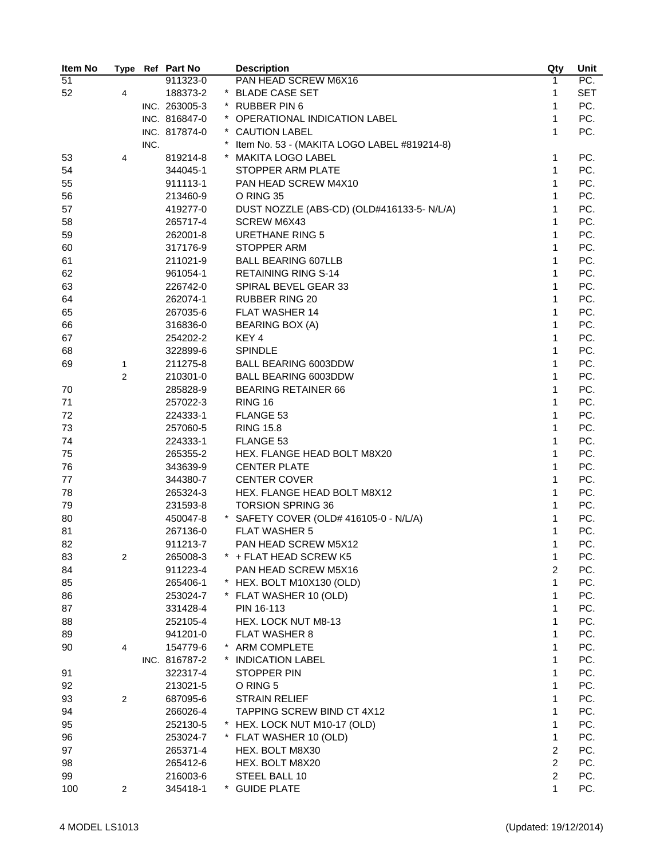| Item No         | <b>Type</b>    |      | Ref Part No   | <b>Description</b>                          | Qty              | Unit              |
|-----------------|----------------|------|---------------|---------------------------------------------|------------------|-------------------|
| $\overline{51}$ |                |      | 911323-0      | PAN HEAD SCREW M6X16                        | 1                | $\overline{PC}$ . |
| 52              | 4              |      | 188373-2      | * BLADE CASE SET                            | 1                | <b>SET</b>        |
|                 |                |      | INC. 263005-3 | * RUBBER PIN 6                              | 1                | PC.               |
|                 |                |      | INC. 816847-0 | * OPERATIONAL INDICATION LABEL              | 1                | PC.               |
|                 |                |      | INC. 817874-0 | * CAUTION LABEL                             | 1                | PC.               |
|                 |                | INC. |               | Item No. 53 - (MAKITA LOGO LABEL #819214-8) |                  |                   |
| 53              | 4              |      | 819214-8      | MAKITA LOGO LABEL                           | 1                | PC.               |
| 54              |                |      | 344045-1      | STOPPER ARM PLATE                           | 1                | PC.               |
|                 |                |      | 911113-1      | PAN HEAD SCREW M4X10                        | 1                | PC.               |
| 55              |                |      |               | O RING 35                                   |                  | PC.               |
| 56              |                |      | 213460-9      |                                             | 1                |                   |
| 57              |                |      | 419277-0      | DUST NOZZLE (ABS-CD) (OLD#416133-5- N/L/A)  | 1                | PC.               |
| 58              |                |      | 265717-4      | SCREW M6X43                                 | 1                | PC.               |
| 59              |                |      | 262001-8      | <b>URETHANE RING 5</b>                      | 1                | PC.               |
| 60              |                |      | 317176-9      | <b>STOPPER ARM</b>                          | 1                | PC.               |
| 61              |                |      | 211021-9      | <b>BALL BEARING 607LLB</b>                  | 1                | PC.               |
| 62              |                |      | 961054-1      | <b>RETAINING RING S-14</b>                  | 1                | PC.               |
| 63              |                |      | 226742-0      | SPIRAL BEVEL GEAR 33                        | 1                | PC.               |
| 64              |                |      | 262074-1      | <b>RUBBER RING 20</b>                       | 1                | PC.               |
| 65              |                |      | 267035-6      | FLAT WASHER 14                              | 1                | PC.               |
| 66              |                |      | 316836-0      | <b>BEARING BOX (A)</b>                      | 1                | PC.               |
| 67              |                |      | 254202-2      | KEY <sub>4</sub>                            | 1                | PC.               |
| 68              |                |      | 322899-6      | <b>SPINDLE</b>                              | 1                | PC.               |
| 69              | $\mathbf{1}$   |      | 211275-8      | <b>BALL BEARING 6003DDW</b>                 | 1                | PC.               |
|                 | $\overline{2}$ |      | 210301-0      | BALL BEARING 6003DDW                        | 1                | PC.               |
| 70              |                |      | 285828-9      | <b>BEARING RETAINER 66</b>                  | 1                | PC.               |
| 71              |                |      | 257022-3      | <b>RING 16</b>                              | 1                | PC.               |
| 72              |                |      | 224333-1      | FLANGE 53                                   | 1                | PC.               |
| 73              |                |      | 257060-5      | <b>RING 15.8</b>                            | 1                | PC.               |
| 74              |                |      | 224333-1      | FLANGE 53                                   | 1                | PC.               |
| 75              |                |      | 265355-2      | HEX. FLANGE HEAD BOLT M8X20                 | 1                | PC.               |
| 76              |                |      | 343639-9      | <b>CENTER PLATE</b>                         | 1                | PC.               |
| 77              |                |      | 344380-7      | <b>CENTER COVER</b>                         | 1                | PC.               |
|                 |                |      |               | HEX. FLANGE HEAD BOLT M8X12                 | 1                | PC.               |
| 78              |                |      | 265324-3      | <b>TORSION SPRING 36</b>                    |                  |                   |
| 79              |                |      | 231593-8      |                                             | 1                | PC.               |
| 80              |                |      | 450047-8      | * SAFETY COVER (OLD# 416105-0 - N/L/A)      | 1                | PC.               |
| 81              |                |      | 267136-0      | <b>FLAT WASHER 5</b>                        | 1                | PC.               |
| 82              |                |      | 911213-7      | PAN HEAD SCREW M5X12                        | 1                | PC.               |
| 83              | 2              |      | 265008-3      | * + FLAT HEAD SCREW K5                      | 1                | PC.               |
| 84              |                |      | 911223-4      | PAN HEAD SCREW M5X16                        | $\overline{c}$   | PC.               |
| 85              |                |      | 265406-1      | * HEX. BOLT M10X130 (OLD)                   | 1                | PC.               |
| 86              |                |      | 253024-7      | * FLAT WASHER 10 (OLD)                      | 1                | PC.               |
| 87              |                |      | 331428-4      | PIN 16-113                                  | 1                | PC.               |
| 88              |                |      | 252105-4      | HEX. LOCK NUT M8-13                         | 1                | PC.               |
| 89              |                |      | 941201-0      | <b>FLAT WASHER 8</b>                        | 1                | PC.               |
| 90              | 4              |      | 154779-6      | * ARM COMPLETE                              | 1                | PC.               |
|                 |                |      | INC. 816787-2 | * INDICATION LABEL                          | 1                | PC.               |
| 91              |                |      | 322317-4      | <b>STOPPER PIN</b>                          | 1                | PC.               |
| 92              |                |      | 213021-5      | O RING 5                                    | 1                | PC.               |
| 93              | 2              |      | 687095-6      | <b>STRAIN RELIEF</b>                        | 1                | PC.               |
| 94              |                |      | 266026-4      | TAPPING SCREW BIND CT 4X12                  | 1                | PC.               |
| 95              |                |      | 252130-5      | * HEX. LOCK NUT M10-17 (OLD)                | 1                | PC.               |
| 96              |                |      | 253024-7      | * FLAT WASHER 10 (OLD)                      | 1                | PC.               |
| 97              |                |      | 265371-4      | HEX. BOLT M8X30                             | $\overline{c}$   | PC.               |
| 98              |                |      | 265412-6      | HEX. BOLT M8X20                             | $\overline{c}$   | PC.               |
| 99              |                |      | 216003-6      | STEEL BALL 10                               | $\boldsymbol{2}$ | PC.               |
| 100             | 2              |      | 345418-1      | * GUIDE PLATE                               | 1                | PC.               |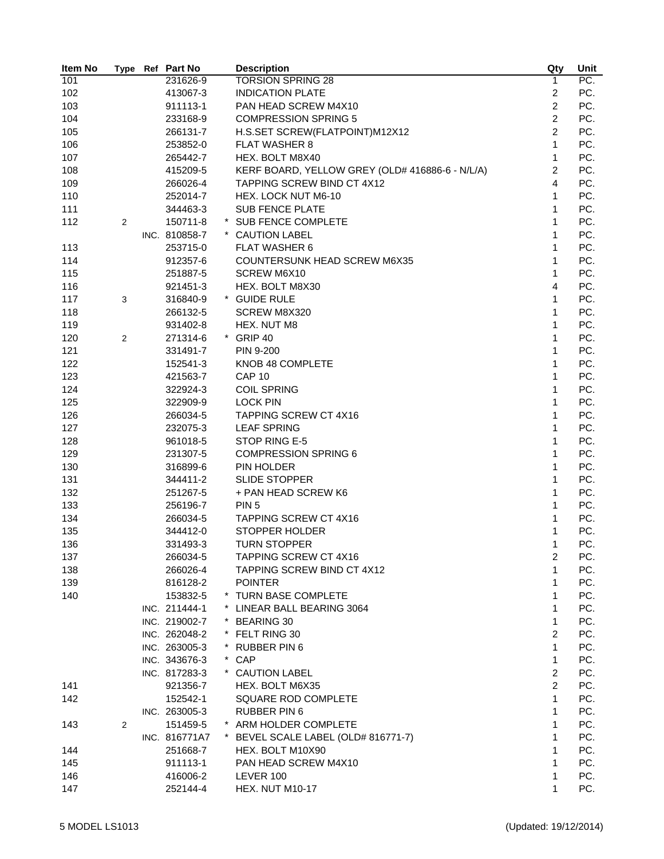| Item No |                | Type Ref Part No | <b>Description</b>                              | Qty            | Unit              |
|---------|----------------|------------------|-------------------------------------------------|----------------|-------------------|
| 101     |                | 231626-9         | <b>TORSION SPRING 28</b>                        | 1              | $\overline{PC}$ . |
| 102     |                | 413067-3         | <b>INDICATION PLATE</b>                         | $\overline{c}$ | PC.               |
| 103     |                | 911113-1         | PAN HEAD SCREW M4X10                            | $\overline{c}$ | PC.               |
| 104     |                | 233168-9         | <b>COMPRESSION SPRING 5</b>                     | $\overline{c}$ | PC.               |
| 105     |                | 266131-7         | H.S.SET SCREW(FLATPOINT)M12X12                  | $\overline{2}$ | PC.               |
| 106     |                | 253852-0         | <b>FLAT WASHER 8</b>                            | 1              | PC.               |
| 107     |                | 265442-7         | HEX. BOLT M8X40                                 | 1              | PC.               |
| 108     |                | 415209-5         | KERF BOARD, YELLOW GREY (OLD# 416886-6 - N/L/A) | 2              | PC.               |
| 109     |                | 266026-4         | TAPPING SCREW BIND CT 4X12                      | 4              | PC.               |
| 110     |                | 252014-7         | HEX. LOCK NUT M6-10                             | 1              | PC.               |
| 111     |                | 344463-3         | <b>SUB FENCE PLATE</b>                          | 1              | PC.               |
| 112     | $\overline{2}$ | 150711-8         | * SUB FENCE COMPLETE                            | 1              | PC.               |
|         |                | INC. 810858-7    | * CAUTION LABEL                                 | 1              | PC.               |
|         |                | 253715-0         | <b>FLAT WASHER 6</b>                            | 1              | PC.               |
| 113     |                |                  | <b>COUNTERSUNK HEAD SCREW M6X35</b>             |                | PC.               |
| 114     |                | 912357-6         |                                                 | 1              | PC.               |
| 115     |                | 251887-5         | SCREW M6X10                                     | 1              |                   |
| 116     |                | 921451-3         | HEX. BOLT M8X30                                 | 4              | PC.               |
| 117     | 3              | 316840-9         | * GUIDE RULE                                    | 1              | PC.               |
| 118     |                | 266132-5         | SCREW M8X320                                    | 1              | PC.               |
| 119     |                | 931402-8         | HEX. NUT M8                                     | 1              | PC.               |
| 120     | 2              | 271314-6         | * GRIP 40                                       | 1              | PC.               |
| 121     |                | 331491-7         | PIN 9-200                                       | 1              | PC.               |
| 122     |                | 152541-3         | KNOB 48 COMPLETE                                | 1              | PC.               |
| 123     |                | 421563-7         | <b>CAP 10</b>                                   | 1              | PC.               |
| 124     |                | 322924-3         | <b>COIL SPRING</b>                              | 1              | PC.               |
| 125     |                | 322909-9         | <b>LOCK PIN</b>                                 | 1              | PC.               |
| 126     |                | 266034-5         | <b>TAPPING SCREW CT 4X16</b>                    | 1              | PC.               |
| 127     |                | 232075-3         | <b>LEAF SPRING</b>                              | 1              | PC.               |
| 128     |                | 961018-5         | STOP RING E-5                                   | 1              | PC.               |
| 129     |                | 231307-5         | <b>COMPRESSION SPRING 6</b>                     | 1              | PC.               |
| 130     |                | 316899-6         | PIN HOLDER                                      | 1              | PC.               |
| 131     |                | 344411-2         | <b>SLIDE STOPPER</b>                            | 1              | PC.               |
| 132     |                | 251267-5         | + PAN HEAD SCREW K6                             | 1              | PC.               |
| 133     |                | 256196-7         | PIN <sub>5</sub>                                | 1              | PC.               |
| 134     |                | 266034-5         | <b>TAPPING SCREW CT 4X16</b>                    | 1              | PC.               |
| 135     |                | 344412-0         | <b>STOPPER HOLDER</b>                           | 1              | PC.               |
| 136     |                | 331493-3         | <b>TURN STOPPER</b>                             | 1              | PC.               |
| 137     |                | 266034-5         | <b>TAPPING SCREW CT 4X16</b>                    | $\overline{c}$ | PC.               |
| 138     |                | 266026-4         | <b>TAPPING SCREW BIND CT 4X12</b>               | 1              | PC.               |
| 139     |                | 816128-2         | <b>POINTER</b>                                  | 1              | PC.               |
| 140     |                | 153832-5         | * TURN BASE COMPLETE                            | 1              | PC.               |
|         |                | INC. 211444-1    | * LINEAR BALL BEARING 3064                      | 1              | PC.               |
|         |                | INC. 219002-7    | * BEARING 30                                    | 1              | PC.               |
|         |                | INC. 262048-2    | * FELT RING 30                                  | $\overline{c}$ | PC.               |
|         |                | INC. 263005-3    | RUBBER PIN 6                                    | 1              | PC.               |
|         |                | INC. 343676-3    | * CAP                                           | 1              | PC.               |
|         |                |                  |                                                 | $\overline{c}$ |                   |
|         |                | INC. 817283-3    | * CAUTION LABEL                                 |                | PC.               |
| 141     |                | 921356-7         | HEX. BOLT M6X35                                 | $\overline{2}$ | PC.               |
| 142     |                | 152542-1         | SQUARE ROD COMPLETE                             | $\mathbf{1}$   | PC.               |
|         |                | INC. 263005-3    | <b>RUBBER PIN 6</b>                             | 1              | PC.               |
| 143     | $\overline{2}$ | 151459-5         | * ARM HOLDER COMPLETE                           | 1              | PC.               |
|         |                | INC. 816771A7    | * BEVEL SCALE LABEL (OLD# 816771-7)             | 1              | PC.               |
| 144     |                | 251668-7         | HEX. BOLT M10X90                                | 1              | PC.               |
| 145     |                | 911113-1         | PAN HEAD SCREW M4X10                            | 1              | PC.               |
| 146     |                | 416006-2         | LEVER 100                                       | 1              | PC.               |
| 147     |                | 252144-4         | <b>HEX. NUT M10-17</b>                          | 1              | PC.               |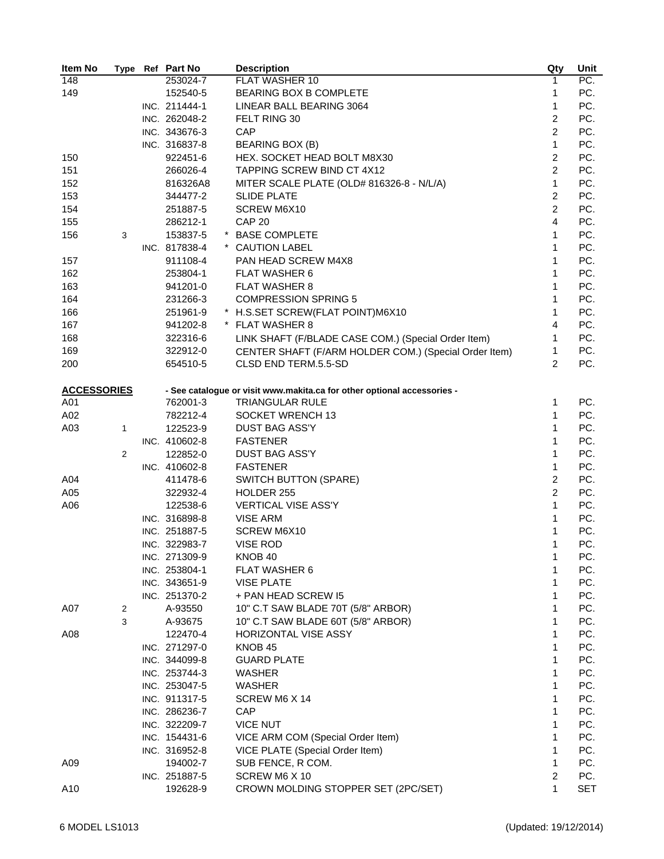| Item No            | <b>Type</b>    | Ref Part No   | <b>Description</b>                                                      | Qty            | Unit              |
|--------------------|----------------|---------------|-------------------------------------------------------------------------|----------------|-------------------|
| 148                |                | 253024-7      | FLAT WASHER 10                                                          | 1              | $\overline{PC}$ . |
| 149                |                | 152540-5      | BEARING BOX B COMPLETE                                                  | 1              | PC.               |
|                    |                | INC. 211444-1 | LINEAR BALL BEARING 3064                                                | 1              | PC.               |
|                    |                | INC. 262048-2 | FELT RING 30                                                            | 2              | PC.               |
|                    |                | INC. 343676-3 | CAP                                                                     | $\overline{2}$ | PC.               |
|                    |                |               |                                                                         |                | PC.               |
|                    |                | INC. 316837-8 | <b>BEARING BOX (B)</b>                                                  | 1              |                   |
| 150                |                | 922451-6      | HEX. SOCKET HEAD BOLT M8X30                                             | $\overline{c}$ | PC.               |
| 151                |                | 266026-4      | TAPPING SCREW BIND CT 4X12                                              | $\overline{c}$ | PC.               |
| 152                |                | 816326A8      | MITER SCALE PLATE (OLD# 816326-8 - N/L/A)                               | 1              | PC.               |
| 153                |                | 344477-2      | <b>SLIDE PLATE</b>                                                      | 2              | PC.               |
| 154                |                | 251887-5      | SCREW M6X10                                                             | $\overline{c}$ | PC.               |
| 155                |                | 286212-1      | <b>CAP 20</b>                                                           | 4              | PC.               |
| 156                | 3              | 153837-5      | * BASE COMPLETE                                                         | 1              | PC.               |
|                    |                | INC. 817838-4 | * CAUTION LABEL                                                         | 1              | PC.               |
| 157                |                | 911108-4      | PAN HEAD SCREW M4X8                                                     | 1              | PC.               |
| 162                |                | 253804-1      | <b>FLAT WASHER 6</b>                                                    | 1              | PC.               |
| 163                |                | 941201-0      | <b>FLAT WASHER 8</b>                                                    | 1              | PC.               |
|                    |                |               |                                                                         |                |                   |
| 164                |                | 231266-3      | <b>COMPRESSION SPRING 5</b>                                             | 1              | PC.               |
| 166                |                | 251961-9      | * H.S.SET SCREW(FLAT POINT)M6X10                                        | 1              | PC.               |
| 167                |                | 941202-8      | * FLAT WASHER 8                                                         | 4              | PC.               |
| 168                |                | 322316-6      | LINK SHAFT (F/BLADE CASE COM.) (Special Order Item)                     | 1              | PC.               |
| 169                |                | 322912-0      | CENTER SHAFT (F/ARM HOLDER COM.) (Special Order Item)                   | 1              | PC.               |
| 200                |                | 654510-5      | CLSD END TERM.5.5-SD                                                    | $\overline{2}$ | PC.               |
|                    |                |               |                                                                         |                |                   |
| <b>ACCESSORIES</b> |                |               | - See catalogue or visit www.makita.ca for other optional accessories - |                |                   |
| A01                |                | 762001-3      | <b>TRIANGULAR RULE</b>                                                  | 1              | PC.               |
| A02                |                | 782212-4      | <b>SOCKET WRENCH 13</b>                                                 | 1              | PC.               |
| A03                | 1              | 122523-9      | <b>DUST BAG ASS'Y</b>                                                   | 1              | PC.               |
|                    |                | INC. 410602-8 | <b>FASTENER</b>                                                         | 1              | PC.               |
|                    |                |               |                                                                         |                |                   |
|                    | 2              | 122852-0      | <b>DUST BAG ASS'Y</b>                                                   | 1              | PC.               |
|                    |                | INC. 410602-8 | <b>FASTENER</b>                                                         | 1              | PC.               |
| A04                |                | 411478-6      | <b>SWITCH BUTTON (SPARE)</b>                                            | 2              | PC.               |
| A05                |                | 322932-4      | HOLDER 255                                                              | $\overline{c}$ | PC.               |
| A06                |                | 122538-6      | <b>VERTICAL VISE ASS'Y</b>                                              | 1              | PC.               |
|                    |                | INC. 316898-8 | <b>VISE ARM</b>                                                         | 1              | PC.               |
|                    |                | INC. 251887-5 | SCREW M6X10                                                             | 1              | PC.               |
|                    |                | INC. 322983-7 | VISE ROD                                                                | 1              | PC.               |
|                    |                | INC. 271309-9 | KNOB <sub>40</sub>                                                      | 1              | PC.               |
|                    |                | INC. 253804-1 | <b>FLAT WASHER 6</b>                                                    | 1              | PC.               |
|                    |                | INC. 343651-9 | <b>VISE PLATE</b>                                                       | 1              | PC.               |
|                    |                | INC. 251370-2 | + PAN HEAD SCREW I5                                                     | 1              | PC.               |
|                    | $\overline{2}$ |               | 10" C.T SAW BLADE 70T (5/8" ARBOR)                                      | 1              | PC.               |
| A07                |                | A-93550       |                                                                         |                |                   |
|                    | 3              | A-93675       | 10" C.T SAW BLADE 60T (5/8" ARBOR)                                      | 1              | PC.               |
| A08                |                | 122470-4      | HORIZONTAL VISE ASSY                                                    | 1              | PC.               |
|                    |                | INC. 271297-0 | KNOB <sub>45</sub>                                                      | 1              | PC.               |
|                    |                | INC. 344099-8 | <b>GUARD PLATE</b>                                                      | 1              | PC.               |
|                    |                | INC. 253744-3 | <b>WASHER</b>                                                           | 1              | PC.               |
|                    |                | INC. 253047-5 | <b>WASHER</b>                                                           | 1              | PC.               |
|                    |                | INC. 911317-5 | SCREW M6 X 14                                                           | 1              | PC.               |
|                    |                | INC. 286236-7 | CAP                                                                     | 1              | PC.               |
|                    |                | INC. 322209-7 | <b>VICE NUT</b>                                                         | 1              | PC.               |
|                    |                | INC. 154431-6 | VICE ARM COM (Special Order Item)                                       | 1              | PC.               |
|                    |                | INC. 316952-8 | VICE PLATE (Special Order Item)                                         | 1              | PC.               |
|                    |                |               | SUB FENCE, R COM.                                                       | 1              | PC.               |
| A09                |                | 194002-7      |                                                                         |                |                   |
|                    |                | INC. 251887-5 | SCREW M6 X 10                                                           | $\overline{c}$ | PC.               |
| A10                |                | 192628-9      | CROWN MOLDING STOPPER SET (2PC/SET)                                     | 1              | <b>SET</b>        |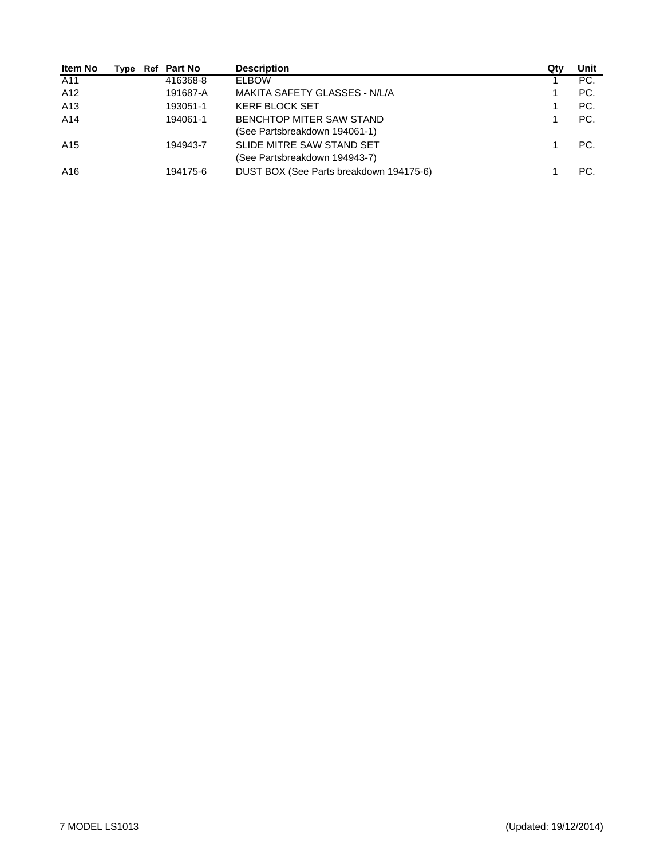| <b>Item No</b>  |  | Type Ref Part No | <b>Description</b>                      | Qty | Unit |
|-----------------|--|------------------|-----------------------------------------|-----|------|
| A11             |  | 416368-8         | <b>ELBOW</b>                            |     | PC.  |
| A <sub>12</sub> |  | 191687-A         | MAKITA SAFETY GLASSES - N/L/A           |     | PC.  |
| A <sub>13</sub> |  | 193051-1         | <b>KERF BLOCK SET</b>                   |     | PC.  |
| A14             |  | 194061-1         | BENCHTOP MITER SAW STAND                |     | PC.  |
|                 |  |                  | (See Partsbreakdown 194061-1)           |     |      |
| A <sub>15</sub> |  | 194943-7         | SLIDE MITRE SAW STAND SET               |     | PC.  |
|                 |  |                  | (See Partsbreakdown 194943-7)           |     |      |
| A16             |  | 194175-6         | DUST BOX (See Parts breakdown 194175-6) |     | PC.  |
|                 |  |                  |                                         |     |      |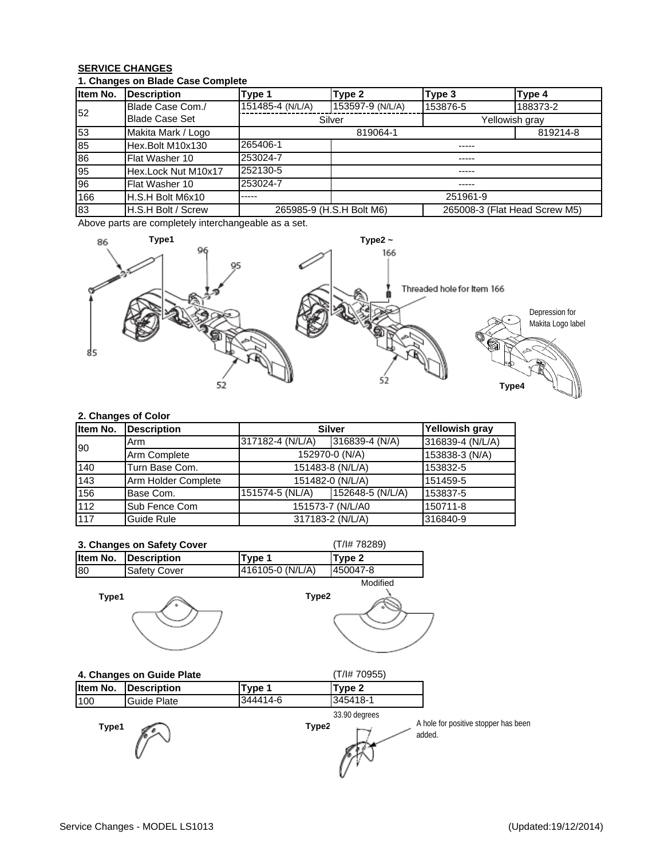## **SERVICE CHANGES**

## **1. Changes on Blade Case Complete**

| Item No. | <b>Description</b>        | Type 1               | Type 2                   | Type 3   | Type 4                        |
|----------|---------------------------|----------------------|--------------------------|----------|-------------------------------|
| 52       | Blade Case Com./          | $151485 - 4$ (N/L/A) | 153597-9 (N/L/A)         | 153876-5 | 188373-2                      |
|          | <b>Blade Case Set</b>     |                      | Silver                   |          | Yellowish gray                |
| 53       | Makita Mark / Logo        |                      | 819064-1                 |          | 819214-8                      |
| 85       | Hex.Bolt M10x130          | 265406-1             |                          |          |                               |
| 86       | Flat Washer 10            | 253024-7             |                          |          |                               |
| 95       | Hex.Lock Nut M10x17       | 252130-5             |                          | -----    |                               |
| 96       | Flat Washer 10            | 253024-7             |                          |          |                               |
| 166      | H.S.H Bolt M6x10          | -----                |                          | 251961-9 |                               |
| 83       | <b>H.S.H Bolt / Screw</b> |                      | 265985-9 (H.S.H Bolt M6) |          | 265008-3 (Flat Head Screw M5) |

Above parts are completely interchangeable as a set.



## **2. Changes of Color**

| Item No. | <b>Description</b>  | <b>Silver</b>    | <b>Yellowish gray</b> |                  |
|----------|---------------------|------------------|-----------------------|------------------|
| 90       | Arm                 | 317182-4 (N/L/A) | 316839-4 (N/A)        | 316839-4 (N/L/A) |
|          | Arm Complete        |                  | 152970-0 (N/A)        | 153838-3 (N/A)   |
| 140      | Turn Base Com.      |                  | 151483-8 (N/L/A)      | 153832-5         |
| 143      | Arm Holder Complete |                  | 151482-0 (N/L/A)      | 151459-5         |
| 156      | Base Com.           | 151574-5 (NL/A)  | 152648-5 (N/L/A)      | 153837-5         |
| 112      | Sub Fence Com       |                  | 151573-7 (N/L/A0      | 150711-8         |
| 117      | Guide Rule          |                  | 317183-2 (N/L/A)      | 316840-9         |

|          | 3. Changes on Safety Cover |                  | T/l# 78289)   |                                                |
|----------|----------------------------|------------------|---------------|------------------------------------------------|
| Item No. | <b>Description</b>         | Type 1           | Type 2        |                                                |
| 80       | Safety Cover               | 416105-0 (N/L/A) | 450047-8      |                                                |
|          |                            |                  | Modified      |                                                |
| Type1    |                            | Type2            |               |                                                |
|          | 4. Changes on Guide Plate  |                  | (T/I# 70955)  |                                                |
| Item No. | <b>Description</b>         | Type 1           | Type 2        |                                                |
| 100      | Guide Plate                | 344414-6         | 345418-1      |                                                |
| Type1    |                            | Type2            | 33.90 degrees | A hole for positive stopper has been<br>added. |